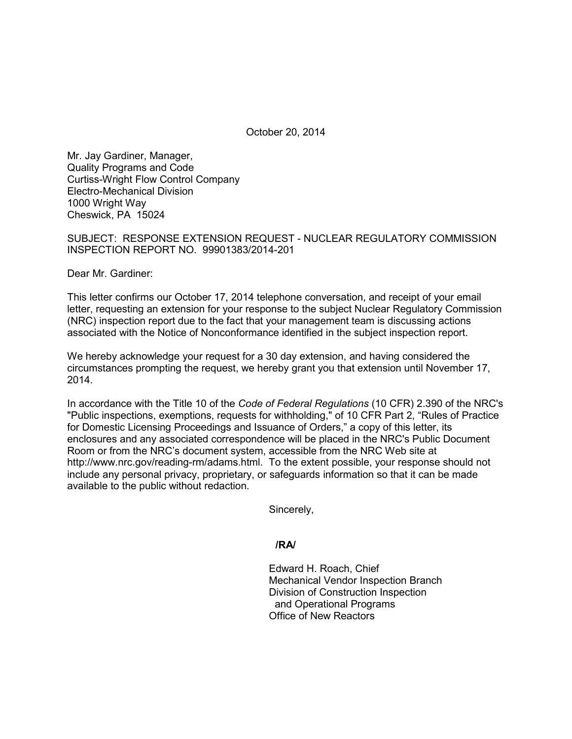October 20, 2014

Mr. Jay Gardiner, Manager, Quality Programs and Code Curtiss-Wright Flow Control Company Electro-Mechanical Division 1000 Wright Way Cheswick, PA 15024

SUBJECT: RESPONSE EXTENSION REQUEST - NUCLEAR REGULATORY COMMISSION INSPECTION REPORT NO. 99901383/2014-201

Dear Mr. Gardiner:

This letter confirms our October 17, 2014 telephone conversation, and receipt of your email letter, requesting an extension for your response to the subject Nuclear Regulatory Commission (NRC) inspection report due to the fact that your management team is discussing actions associated with the Notice of Nonconformance identified in the subject inspection report.

We hereby acknowledge your request for a 30 day extension, and having considered the circumstances prompting the request, we hereby grant you that extension until November 17, 2014.

In accordance with the Title 10 of the *Code of Federal Regulations* (10 CFR) 2.390 of the NRC's "Public inspections, exemptions, requests for withholding," of 10 CFR Part 2, "Rules of Practice for Domestic Licensing Proceedings and Issuance of Orders," a copy of this letter, its enclosures and any associated correspondence will be placed in the NRC's Public Document Room or from the NRC's document system, accessible from the NRC Web site at http://www.nrc.gov/reading-rm/adams.html. To the extent possible, your response should not include any personal privacy, proprietary, or safeguards information so that it can be made available to the public without redaction.

Sincerely,

**/RA/**

Edward H. Roach, Chief Mechanical Vendor Inspection Branch Division of Construction Inspection and Operational Programs Office of New Reactors